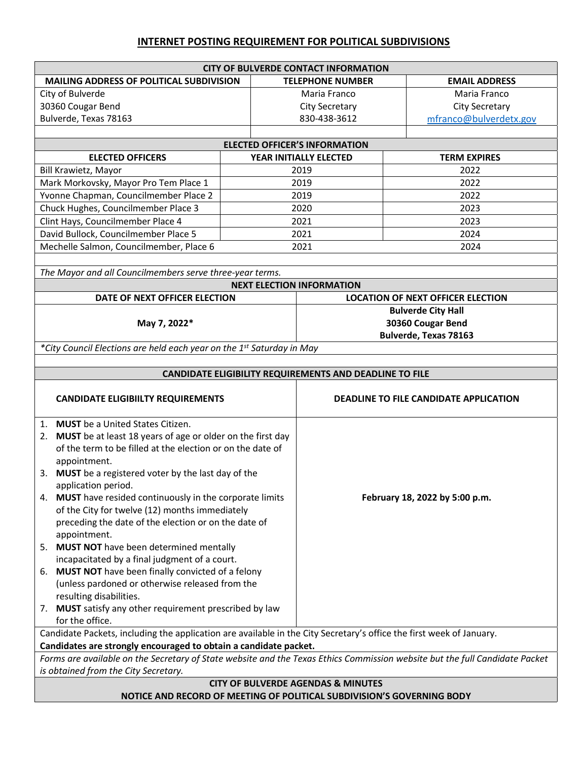## **INTERNET POSTING REQUIREMENT FOR POLITICAL SUBDIVISIONS**

| <b>CITY OF BULVERDE CONTACT INFORMATION</b>                                                                                 |      |                                                         |                                          |                      |  |  |  |  |  |
|-----------------------------------------------------------------------------------------------------------------------------|------|---------------------------------------------------------|------------------------------------------|----------------------|--|--|--|--|--|
| MAILING ADDRESS OF POLITICAL SUBDIVISION                                                                                    |      | <b>TELEPHONE NUMBER</b>                                 |                                          | <b>EMAIL ADDRESS</b> |  |  |  |  |  |
| City of Bulverde                                                                                                            |      | Maria Franco                                            | Maria Franco                             |                      |  |  |  |  |  |
| 30360 Cougar Bend                                                                                                           |      | <b>City Secretary</b>                                   | <b>City Secretary</b>                    |                      |  |  |  |  |  |
| Bulverde, Texas 78163                                                                                                       |      | 830-438-3612                                            | mfranco@bulverdetx.gov                   |                      |  |  |  |  |  |
|                                                                                                                             |      |                                                         |                                          |                      |  |  |  |  |  |
| <b>ELECTED OFFICER'S INFORMATION</b>                                                                                        |      |                                                         |                                          |                      |  |  |  |  |  |
| <b>ELECTED OFFICERS</b>                                                                                                     |      | YEAR INITIALLY ELECTED                                  | <b>TERM EXPIRES</b>                      |                      |  |  |  |  |  |
| Bill Krawietz, Mayor                                                                                                        | 2019 |                                                         | 2022                                     |                      |  |  |  |  |  |
| Mark Morkovsky, Mayor Pro Tem Place 1                                                                                       | 2019 |                                                         | 2022                                     |                      |  |  |  |  |  |
| Yvonne Chapman, Councilmember Place 2                                                                                       | 2019 |                                                         | 2022                                     |                      |  |  |  |  |  |
| Chuck Hughes, Councilmember Place 3                                                                                         |      | 2020                                                    | 2023                                     |                      |  |  |  |  |  |
| Clint Hays, Councilmember Place 4                                                                                           |      | 2021                                                    | 2023                                     |                      |  |  |  |  |  |
| David Bullock, Councilmember Place 5                                                                                        |      | 2021                                                    | 2024                                     |                      |  |  |  |  |  |
| Mechelle Salmon, Councilmember, Place 6                                                                                     |      | 2021<br>2024                                            |                                          |                      |  |  |  |  |  |
|                                                                                                                             |      |                                                         |                                          |                      |  |  |  |  |  |
| The Mayor and all Councilmembers serve three-year terms.                                                                    |      |                                                         |                                          |                      |  |  |  |  |  |
|                                                                                                                             |      | <b>NEXT ELECTION INFORMATION</b>                        |                                          |                      |  |  |  |  |  |
| DATE OF NEXT OFFICER ELECTION                                                                                               |      |                                                         | <b>LOCATION OF NEXT OFFICER ELECTION</b> |                      |  |  |  |  |  |
|                                                                                                                             |      | <b>Bulverde City Hall</b>                               |                                          |                      |  |  |  |  |  |
| May 7, 2022*                                                                                                                |      | 30360 Cougar Bend                                       |                                          |                      |  |  |  |  |  |
|                                                                                                                             |      | <b>Bulverde, Texas 78163</b>                            |                                          |                      |  |  |  |  |  |
| *City Council Elections are held each year on the 1 <sup>st</sup> Saturday in May                                           |      |                                                         |                                          |                      |  |  |  |  |  |
|                                                                                                                             |      |                                                         |                                          |                      |  |  |  |  |  |
|                                                                                                                             |      | CANDIDATE ELIGIBILITY REQUIREMENTS AND DEADLINE TO FILE |                                          |                      |  |  |  |  |  |
| <b>CANDIDATE ELIGIBIILTY REQUIREMENTS</b>                                                                                   |      | DEADLINE TO FILE CANDIDATE APPLICATION                  |                                          |                      |  |  |  |  |  |
| 1. MUST be a United States Citizen.                                                                                         |      |                                                         |                                          |                      |  |  |  |  |  |
| 2. MUST be at least 18 years of age or older on the first day                                                               |      |                                                         |                                          |                      |  |  |  |  |  |
| of the term to be filled at the election or on the date of                                                                  |      |                                                         |                                          |                      |  |  |  |  |  |
| appointment.                                                                                                                |      |                                                         |                                          |                      |  |  |  |  |  |
| 3. MUST be a registered voter by the last day of the                                                                        |      |                                                         |                                          |                      |  |  |  |  |  |
| application period.                                                                                                         |      |                                                         |                                          |                      |  |  |  |  |  |
| 4. MUST have resided continuously in the corporate limits                                                                   |      | February 18, 2022 by 5:00 p.m.                          |                                          |                      |  |  |  |  |  |
| of the City for twelve (12) months immediately                                                                              |      |                                                         |                                          |                      |  |  |  |  |  |
| preceding the date of the election or on the date of                                                                        |      |                                                         |                                          |                      |  |  |  |  |  |
| appointment.<br>5. MUST NOT have been determined mentally                                                                   |      |                                                         |                                          |                      |  |  |  |  |  |
| incapacitated by a final judgment of a court.                                                                               |      |                                                         |                                          |                      |  |  |  |  |  |
| MUST NOT have been finally convicted of a felony<br>6.                                                                      |      |                                                         |                                          |                      |  |  |  |  |  |
| (unless pardoned or otherwise released from the                                                                             |      |                                                         |                                          |                      |  |  |  |  |  |
| resulting disabilities.                                                                                                     |      |                                                         |                                          |                      |  |  |  |  |  |
| 7. MUST satisfy any other requirement prescribed by law                                                                     |      |                                                         |                                          |                      |  |  |  |  |  |
| for the office.                                                                                                             |      |                                                         |                                          |                      |  |  |  |  |  |
| Candidate Packets, including the application are available in the City Secretary's office the first week of January.        |      |                                                         |                                          |                      |  |  |  |  |  |
| Candidates are strongly encouraged to obtain a candidate packet.                                                            |      |                                                         |                                          |                      |  |  |  |  |  |
| Forms are available on the Secretary of State website and the Texas Ethics Commission website but the full Candidate Packet |      |                                                         |                                          |                      |  |  |  |  |  |
| is obtained from the City Secretary.                                                                                        |      |                                                         |                                          |                      |  |  |  |  |  |
| <b>CITY OF BULVERDE AGENDAS &amp; MINUTES</b>                                                                               |      |                                                         |                                          |                      |  |  |  |  |  |
| NOTICE AND RECORD OF MEETING OF POLITICAL SUBDIVISION'S GOVERNING BODY                                                      |      |                                                         |                                          |                      |  |  |  |  |  |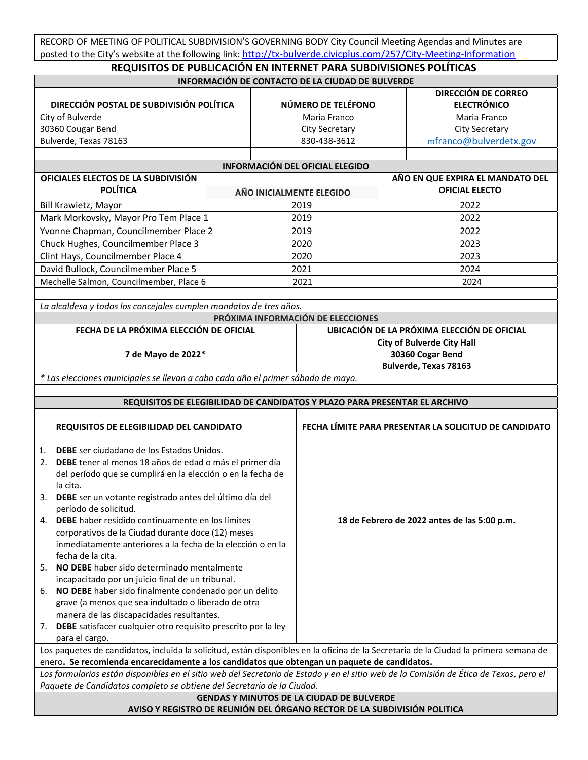RECORD OF MEETING OF POLITICAL SUBDIVISION'S GOVERNING BODY City Council Meeting Agendas and Minutes are posted to the City's website at the following link: <http://tx-bulverde.civicplus.com/257/City-Meeting-Information>

| REQUISITOS DE PUBLICACIÓN EN INTERNET PARA SUBDIVISIONES POLÍTICAS                                                                                                                                                                     |  |                                                       |                                                                            |                                  |                                                  |  |  |  |
|----------------------------------------------------------------------------------------------------------------------------------------------------------------------------------------------------------------------------------------|--|-------------------------------------------------------|----------------------------------------------------------------------------|----------------------------------|--------------------------------------------------|--|--|--|
| INFORMACIÓN DE CONTACTO DE LA CIUDAD DE BULVERDE                                                                                                                                                                                       |  |                                                       |                                                                            |                                  |                                                  |  |  |  |
| DIRECCIÓN POSTAL DE SUBDIVISIÓN POLÍTICA                                                                                                                                                                                               |  |                                                       | NÚMERO DE TELÉFONO                                                         |                                  | <b>DIRECCIÓN DE CORREO</b><br><b>ELECTRÓNICO</b> |  |  |  |
| City of Bulverde                                                                                                                                                                                                                       |  |                                                       | Maria Franco                                                               |                                  | Maria Franco                                     |  |  |  |
| 30360 Cougar Bend                                                                                                                                                                                                                      |  | <b>City Secretary</b>                                 |                                                                            |                                  | <b>City Secretary</b>                            |  |  |  |
| Bulverde, Texas 78163                                                                                                                                                                                                                  |  | 830-438-3612                                          |                                                                            |                                  | mfranco@bulverdetx.gov                           |  |  |  |
|                                                                                                                                                                                                                                        |  |                                                       |                                                                            |                                  |                                                  |  |  |  |
| <b>INFORMACIÓN DEL OFICIAL ELEGIDO</b>                                                                                                                                                                                                 |  |                                                       |                                                                            |                                  |                                                  |  |  |  |
| OFICIALES ELECTOS DE LA SUBDIVISIÓN                                                                                                                                                                                                    |  |                                                       |                                                                            | AÑO EN QUE EXPIRA EL MANDATO DEL |                                                  |  |  |  |
| <b>POLÍTICA</b>                                                                                                                                                                                                                        |  |                                                       | AÑO INICIALMENTE ELEGIDO                                                   | <b>OFICIAL ELECTO</b>            |                                                  |  |  |  |
| Bill Krawietz, Mayor                                                                                                                                                                                                                   |  |                                                       | 2019                                                                       | 2022                             |                                                  |  |  |  |
| Mark Morkovsky, Mayor Pro Tem Place 1                                                                                                                                                                                                  |  |                                                       | 2019                                                                       | 2022                             |                                                  |  |  |  |
| Yvonne Chapman, Councilmember Place 2                                                                                                                                                                                                  |  |                                                       | 2019                                                                       |                                  | 2022                                             |  |  |  |
| Chuck Hughes, Councilmember Place 3                                                                                                                                                                                                    |  |                                                       | 2020                                                                       |                                  | 2023                                             |  |  |  |
| Clint Hays, Councilmember Place 4                                                                                                                                                                                                      |  |                                                       | 2020                                                                       | 2023                             |                                                  |  |  |  |
| David Bullock, Councilmember Place 5                                                                                                                                                                                                   |  |                                                       | 2021                                                                       |                                  | 2024                                             |  |  |  |
| Mechelle Salmon, Councilmember, Place 6                                                                                                                                                                                                |  |                                                       | 2021                                                                       |                                  | 2024                                             |  |  |  |
|                                                                                                                                                                                                                                        |  |                                                       |                                                                            |                                  |                                                  |  |  |  |
| La alcaldesa y todos los concejales cumplen mandatos de tres años.                                                                                                                                                                     |  |                                                       |                                                                            |                                  |                                                  |  |  |  |
|                                                                                                                                                                                                                                        |  |                                                       | PRÓXIMA INFORMACIÓN DE ELECCIONES                                          |                                  |                                                  |  |  |  |
| FECHA DE LA PRÓXIMA ELECCIÓN DE OFICIAL                                                                                                                                                                                                |  |                                                       | UBICACIÓN DE LA PRÓXIMA ELECCIÓN DE OFICIAL                                |                                  |                                                  |  |  |  |
| 7 de Mayo de 2022*                                                                                                                                                                                                                     |  |                                                       | <b>City of Bulverde City Hall</b>                                          |                                  |                                                  |  |  |  |
|                                                                                                                                                                                                                                        |  |                                                       | 30360 Cogar Bend<br>Bulverde, Texas 78163                                  |                                  |                                                  |  |  |  |
| * Las elecciones municipales se llevan a cabo cada año el primer sábado de mayo.                                                                                                                                                       |  |                                                       |                                                                            |                                  |                                                  |  |  |  |
|                                                                                                                                                                                                                                        |  |                                                       |                                                                            |                                  |                                                  |  |  |  |
|                                                                                                                                                                                                                                        |  |                                                       | REQUISITOS DE ELEGIBILIDAD DE CANDIDATOS Y PLAZO PARA PRESENTAR EL ARCHIVO |                                  |                                                  |  |  |  |
|                                                                                                                                                                                                                                        |  |                                                       |                                                                            |                                  |                                                  |  |  |  |
| <b>REQUISITOS DE ELEGIBILIDAD DEL CANDIDATO</b>                                                                                                                                                                                        |  | FECHA LÍMITE PARA PRESENTAR LA SOLICITUD DE CANDIDATO |                                                                            |                                  |                                                  |  |  |  |
|                                                                                                                                                                                                                                        |  |                                                       |                                                                            |                                  |                                                  |  |  |  |
| <b>DEBE</b> ser ciudadano de los Estados Unidos.<br>1.                                                                                                                                                                                 |  |                                                       |                                                                            |                                  |                                                  |  |  |  |
| DEBE tener al menos 18 años de edad o más el primer día<br>2.                                                                                                                                                                          |  |                                                       |                                                                            |                                  |                                                  |  |  |  |
| del período que se cumplirá en la elección o en la fecha de                                                                                                                                                                            |  |                                                       |                                                                            |                                  |                                                  |  |  |  |
| la cita.                                                                                                                                                                                                                               |  |                                                       |                                                                            |                                  |                                                  |  |  |  |
| 3. DEBE ser un votante registrado antes del último día del<br>período de solicitud.                                                                                                                                                    |  |                                                       |                                                                            |                                  |                                                  |  |  |  |
| 4. DEBE haber residido continuamente en los límites                                                                                                                                                                                    |  |                                                       | 18 de Febrero de 2022 antes de las 5:00 p.m.                               |                                  |                                                  |  |  |  |
| corporativos de la Ciudad durante doce (12) meses                                                                                                                                                                                      |  |                                                       |                                                                            |                                  |                                                  |  |  |  |
| inmediatamente anteriores a la fecha de la elección o en la                                                                                                                                                                            |  |                                                       |                                                                            |                                  |                                                  |  |  |  |
| fecha de la cita.                                                                                                                                                                                                                      |  |                                                       |                                                                            |                                  |                                                  |  |  |  |
| NO DEBE haber sido determinado mentalmente<br>5.                                                                                                                                                                                       |  |                                                       |                                                                            |                                  |                                                  |  |  |  |
| incapacitado por un juicio final de un tribunal.                                                                                                                                                                                       |  |                                                       |                                                                            |                                  |                                                  |  |  |  |
| NO DEBE haber sido finalmente condenado por un delito<br>6.                                                                                                                                                                            |  |                                                       |                                                                            |                                  |                                                  |  |  |  |
| grave (a menos que sea indultado o liberado de otra                                                                                                                                                                                    |  |                                                       |                                                                            |                                  |                                                  |  |  |  |
| manera de las discapacidades resultantes.                                                                                                                                                                                              |  |                                                       |                                                                            |                                  |                                                  |  |  |  |
| 7. DEBE satisfacer cualquier otro requisito prescrito por la ley                                                                                                                                                                       |  |                                                       |                                                                            |                                  |                                                  |  |  |  |
| para el cargo.                                                                                                                                                                                                                         |  |                                                       |                                                                            |                                  |                                                  |  |  |  |
| Los paquetes de candidatos, incluida la solicitud, están disponibles en la oficina de la Secretaria de la Ciudad la primera semana de                                                                                                  |  |                                                       |                                                                            |                                  |                                                  |  |  |  |
| enero. Se recomienda encarecidamente a los candidatos que obtengan un paquete de candidatos.<br>Los formularios están disponibles en el sitio web del Secretario de Estado y en el sitio web de la Comisión de Ética de Texas, pero el |  |                                                       |                                                                            |                                  |                                                  |  |  |  |
| Paquete de Candidatos completo se obtiene del Secretario de la Ciudad.                                                                                                                                                                 |  |                                                       |                                                                            |                                  |                                                  |  |  |  |
|                                                                                                                                                                                                                                        |  |                                                       | <b>GENDAS Y MINUTOS DE LA CIUDAD DE BULVERDE</b>                           |                                  |                                                  |  |  |  |
| AVISO Y REGISTRO DE REUNIÓN DEL ÓRGANO RECTOR DE LA SUBDIVISIÓN POLITICA                                                                                                                                                               |  |                                                       |                                                                            |                                  |                                                  |  |  |  |